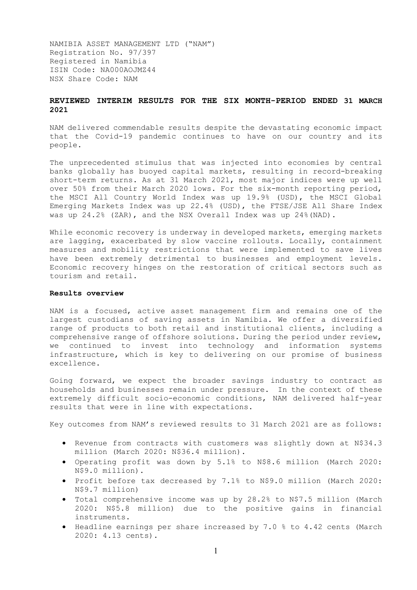NAMIBIA ASSET MANAGEMENT LTD ("NAM") Registration No. 97/397 Registered in Namibia ISIN Code: NA000AOJMZ44 NSX Share Code: NAM

# **REVIEWED INTERIM RESULTS FOR THE SIX MONTH-PERIOD ENDED 31 MARCH 2021**

NAM delivered commendable results despite the devastating economic impact that the Covid-19 pandemic continues to have on our country and its people.

The unprecedented stimulus that was injected into economies by central banks globally has buoyed capital markets, resulting in record-breaking short-term returns. As at 31 March 2021, most major indices were up well over 50% from their March 2020 lows. For the six-month reporting period, the MSCI All Country World Index was up 19.9% (USD), the MSCI Global Emerging Markets Index was up 22.4% (USD), the FTSE/JSE All Share Index was up 24.2% (ZAR), and the NSX Overall Index was up 24%(NAD).

While economic recovery is underway in developed markets, emerging markets are lagging, exacerbated by slow vaccine rollouts. Locally, containment measures and mobility restrictions that were implemented to save lives have been extremely detrimental to businesses and employment levels. Economic recovery hinges on the restoration of critical sectors such as tourism and retail.

### **Results overview**

NAM is a focused, active asset management firm and remains one of the largest custodians of saving assets in Namibia. We offer a diversified range of products to both retail and institutional clients, including a comprehensive range of offshore solutions. During the period under review, we continued to invest into technology and information systems infrastructure, which is key to delivering on our promise of business excellence.

Going forward, we expect the broader savings industry to contract as households and businesses remain under pressure. In the context of these extremely difficult socio-economic conditions, NAM delivered half-year results that were in line with expectations.

Key outcomes from NAM's reviewed results to 31 March 2021 are as follows:

- Revenue from contracts with customers was slightly down at N\$34.3 million (March 2020: N\$36.4 million).
- Operating profit was down by 5.1% to N\$8.6 million (March 2020: N\$9.0 million).
- Profit before tax decreased by 7.1% to N\$9.0 million (March 2020: N\$9.7 million)
- Total comprehensive income was up by 28.2% to N\$7.5 million (March 2020: N\$5.8 million) due to the positive gains in financial instruments.
- Headline earnings per share increased by 7.0 % to 4.42 cents (March 2020: 4.13 cents).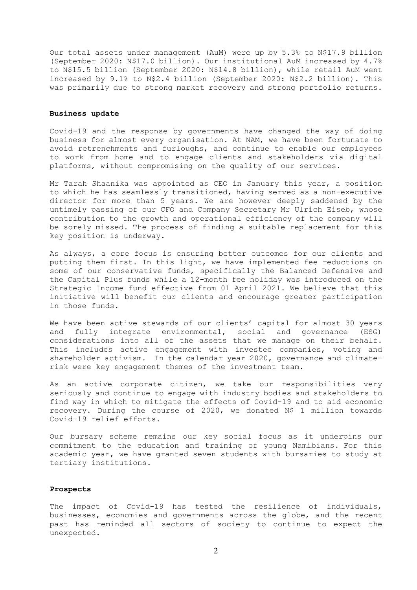Our total assets under management (AuM) were up by 5.3% to N\$17.9 billion (September 2020: N\$17.0 billion). Our institutional AuM increased by 4.7% to N\$15.5 billion (September 2020: N\$14.8 billion), while retail AuM went increased by 9.1% to N\$2.4 billion (September 2020: N\$2.2 billion). This was primarily due to strong market recovery and strong portfolio returns.

#### **Business update**

Covid-19 and the response by governments have changed the way of doing business for almost every organisation. At NAM, we have been fortunate to avoid retrenchments and furloughs, and continue to enable our employees to work from home and to engage clients and stakeholders via digital platforms, without compromising on the quality of our services.

Mr Tarah Shaanika was appointed as CEO in January this year, a position to which he has seamlessly transitioned, having served as a non-executive director for more than 5 years. We are however deeply saddened by the untimely passing of our CFO and Company Secretary Mr Ulrich Eiseb, whose contribution to the growth and operational efficiency of the company will be sorely missed. The process of finding a suitable replacement for this key position is underway.

As always, a core focus is ensuring better outcomes for our clients and putting them first. In this light, we have implemented fee reductions on some of our conservative funds, specifically the Balanced Defensive and the Capital Plus funds while a 12-month fee holiday was introduced on the Strategic Income fund effective from 01 April 2021. We believe that this initiative will benefit our clients and encourage greater participation in those funds.

We have been active stewards of our clients' capital for almost 30 years and fully integrate environmental, social and governance (ESG) considerations into all of the assets that we manage on their behalf. This includes active engagement with investee companies, voting and shareholder activism. In the calendar year 2020, governance and climaterisk were key engagement themes of the investment team.

As an active corporate citizen, we take our responsibilities very seriously and continue to engage with industry bodies and stakeholders to find way in which to mitigate the effects of Covid-19 and to aid economic recovery. During the course of 2020, we donated N\$ 1 million towards Covid-19 relief efforts.

Our bursary scheme remains our key social focus as it underpins our commitment to the education and training of young Namibians. For this academic year, we have granted seven students with bursaries to study at tertiary institutions.

#### **Prospects**

The impact of Covid-19 has tested the resilience of individuals, businesses, economies and governments across the globe, and the recent past has reminded all sectors of society to continue to expect the unexpected.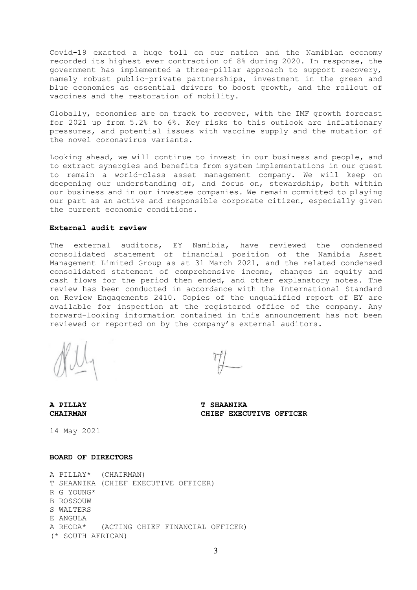Covid-19 exacted a huge toll on our nation and the Namibian economy recorded its highest ever contraction of 8% during 2020. In response, the government has implemented a three-pillar approach to support recovery, namely robust public-private partnerships, investment in the green and blue economies as essential drivers to boost growth, and the rollout of vaccines and the restoration of mobility.

Globally, economies are on track to recover, with the IMF growth forecast for 2021 up from 5.2% to 6%. Key risks to this outlook are inflationary pressures, and potential issues with vaccine supply and the mutation of the novel coronavirus variants.

Looking ahead, we will continue to invest in our business and people, and to extract synergies and benefits from system implementations in our quest to remain a world-class asset management company. We will keep on deepening our understanding of, and focus on, stewardship, both within our business and in our investee companies. We remain committed to playing our part as an active and responsible corporate citizen, especially given the current economic conditions.

### **External audit review**

The external auditors, EY Namibia, have reviewed the condensed consolidated statement of financial position of the Namibia Asset Management Limited Group as at 31 March 2021, and the related condensed consolidated statement of comprehensive income, changes in equity and cash flows for the period then ended, and other explanatory notes. The review has been conducted in accordance with the International Standard on Review Engagements 2410. Copies of the unqualified report of EY are available for inspection at the registered office of the company. Any forward-looking information contained in this announcement has not been reviewed or reported on by the company's external auditors.

**A PILLAY T SHAANIKA CHAIRMAN CHIEF EXECUTIVE OFFICER**

14 May 2021

# **BOARD OF DIRECTORS**

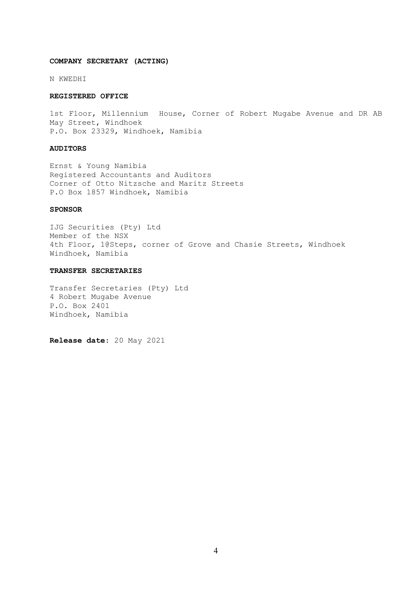### **COMPANY SECRETARY (ACTING)**

N KWEDHI

#### **REGISTERED OFFICE**

1st Floor, Millennium House, Corner of Robert Mugabe Avenue and DR AB May Street, Windhoek P.O. Box 23329, Windhoek, Namibia

### **AUDITORS**

Ernst & Young Namibia Registered Accountants and Auditors Corner of Otto Nitzsche and Maritz Streets P.O Box 1857 Windhoek, Namibia

### **SPONSOR**

IJG Securities (Pty) Ltd Member of the NSX 4th Floor, 1@Steps, corner of Grove and Chasie Streets, Windhoek Windhoek, Namibia

#### **TRANSFER SECRETARIES**

Transfer Secretaries (Pty) Ltd 4 Robert Mugabe Avenue P.O. Box 2401 Windhoek, Namibia

**Release date**: 20 May 2021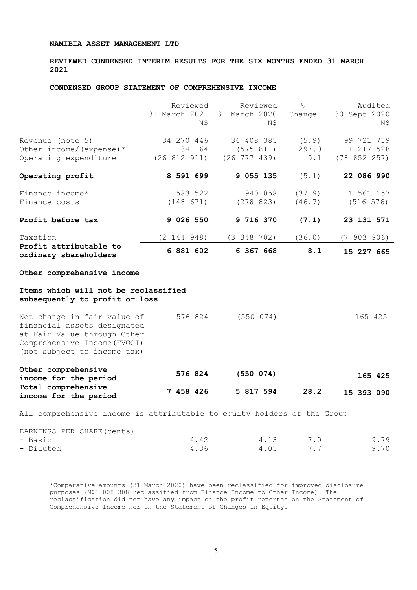**REVIEWED CONDENSED INTERIM RESULTS FOR THE SIX MONTHS ENDED 31 MARCH 2021**

### **CONDENSED GROUP STATEMENT OF COMPREHENSIVE INCOME**

|                                                 | Reviewed     | Reviewed                    | $\approx$ | Audited      |
|-------------------------------------------------|--------------|-----------------------------|-----------|--------------|
|                                                 |              | 31 March 2021 31 March 2020 | Change    | 30 Sept 2020 |
|                                                 | N\$          | N\$                         |           | N\$          |
|                                                 |              |                             |           |              |
| Revenue (note 5)                                | 34 270 446   | 36 408 385                  | (5.9)     | 99 721 719   |
| Other income/(expense) $*$                      | 1 134 164    | (575 811)                   | 297.0     | 1 217 528    |
| Operating expenditure                           | (26 812 911) | $(26\ \ 777\ \ 439)$        | 0.1       | (78852257)   |
| Operating profit                                | 8 591 699    | 9 055 135                   | (5.1)     | 22 086 990   |
|                                                 |              |                             |           |              |
| Finance income*                                 | 583 522      | 940 058                     | (37.9)    | 1 561 157    |
| Finance costs                                   | (148 671)    | (278823)                    | (46.7)    | (516 576)    |
| Profit before tax                               | 9 026 550    | 9 716 370                   | (7.1)     | 23 131 571   |
|                                                 |              |                             |           |              |
| Taxation                                        | (2 144 948)  | $(3\ 348\ 702)$             | (36.0)    | (7903906)    |
| Profit attributable to<br>ordinary shareholders | 6 881 602    | 6 367 668                   | 8.1       | 15 227 665   |
| Other comprehensive income                      |              |                             |           |              |
|                                                 |              |                             |           |              |
| Items which will not be reclassified            |              |                             |           |              |
| subsequently to profit or loss                  |              |                             |           |              |

| Net change in fair value of  | 576 824 | $(550 \t074)$ | 165 425 |
|------------------------------|---------|---------------|---------|
| financial assets designated  |         |               |         |
| at Fair Value through Other  |         |               |         |
| Comprehensive Income (FVOCI) |         |               |         |
| (not subject to income tax)  |         |               |         |
|                              |         |               |         |

| Other comprehensive<br>income for the period | 576 824   | (550 074) |      | 165 425    |
|----------------------------------------------|-----------|-----------|------|------------|
| Total comprehensive<br>income for the period | 7 458 426 | 5 817 594 | 28.2 | 15 393 090 |

All comprehensive income is attributable to equity holders of the Group

EARNINGS PER SHARE(cents)

| - Basic   | 4.42 | 4.13 | 7.0 | 9.79 |
|-----------|------|------|-----|------|
| - Diluted | 4.36 | 4.05 | 7.7 | 9.70 |

\*Comparative amounts (31 March 2020) have been reclassified for improved disclosure purposes (N\$1 008 308 reclassified from Finance Income to Other Income). The reclassification did not have any impact on the profit reported on the Statement of Comprehensive Income nor on the Statement of Changes in Equity.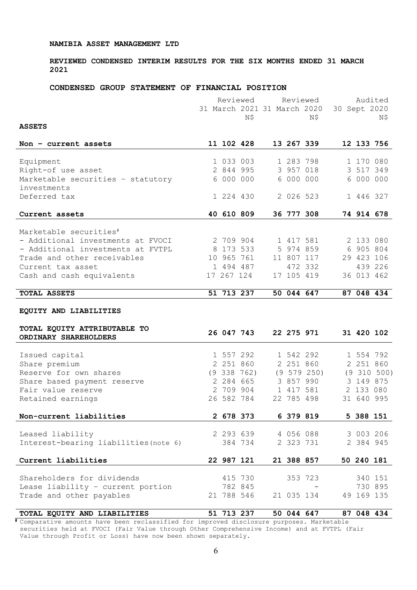# **REVIEWED CONDENSED INTERIM RESULTS FOR THE SIX MONTHS ENDED 31 MARCH 2021**

### **CONDENSED GROUP STATEMENT OF FINANCIAL POSITION**

|                                       | Reviewed   |                 |                             |            | Reviewed    |              |            | Audited     |
|---------------------------------------|------------|-----------------|-----------------------------|------------|-------------|--------------|------------|-------------|
|                                       |            |                 | 31 March 2021 31 March 2020 |            |             | 30 Sept 2020 |            |             |
|                                       |            | Ν\$             |                             |            | N\$         |              |            | Ν\$         |
| <b>ASSETS</b>                         |            |                 |                             |            |             |              |            |             |
| Non $-$ current assets                |            | 11 102 428      |                             |            | 13 267 339  |              |            | 12 133 756  |
|                                       |            |                 |                             |            |             |              |            |             |
| Equipment                             |            | 1 033 003       |                             |            | 1 283 798   |              | 1 170 080  |             |
| Right-of use asset                    |            | 2 844 995       |                             |            | 3 957 018   |              | 3 517 349  |             |
| Marketable securities - statutory     |            | 6 000 000       |                             |            | 6 000 000   |              | 6 000 000  |             |
| investments                           |            |                 |                             |            |             |              |            |             |
| Deferred tax                          | 1 224 430  |                 |                             |            | 2 026 523   |              | 1 446 327  |             |
| Current assets                        | 40 610 809 |                 |                             |            | 36 777 308  |              | 74 914 678 |             |
|                                       |            |                 |                             |            |             |              |            |             |
| Marketable securities <sup>#</sup>    |            |                 |                             |            |             |              |            |             |
| - Additional investments at FVOCI     | 2 709 904  |                 |                             |            | 1 417 581   |              | 2 133 080  |             |
| - Additional investments at FVTPL     |            | 8 173 533       |                             |            | 5 974 859   |              | 6 905 804  |             |
| Trade and other receivables           | 10 965 761 |                 |                             |            | 11 807 117  |              | 29 423 106 |             |
| Current tax asset                     | 1 494 487  |                 |                             |            | 472 332     |              |            | 439 226     |
| Cash and cash equivalents             | 17 267 124 |                 |                             |            | 17 105 419  |              | 36 013 462 |             |
| <b>TOTAL ASSETS</b>                   |            | 51 713 237      |                             |            | 50 044 647  |              |            | 87 048 434  |
|                                       |            |                 |                             |            |             |              |            |             |
| EQUITY AND LIABILITIES                |            |                 |                             |            |             |              |            |             |
|                                       |            |                 |                             |            |             |              |            |             |
| TOTAL EQUITY ATTRIBUTABLE TO          |            |                 |                             |            |             |              |            |             |
| ORDINARY SHAREHOLDERS                 | 26 047 743 |                 |                             |            | 22 275 971  |              | 31 420 102 |             |
|                                       |            |                 |                             |            |             |              |            |             |
| Issued capital                        | 1 557 292  |                 |                             |            | 1 542 292   |              |            | 1 554 792   |
| Share premium                         |            | 2 251 860       |                             |            | 2 251 860   |              | 2 251 860  |             |
| Reserve for own shares                |            | $(9\;338\;762)$ |                             |            | (9 579 250) |              |            | (9 310 500) |
| Share based payment reserve           |            | 2 284 665       |                             |            | 3 857 990   |              | 3 149 875  |             |
| Fair value reserve                    |            | 2 709 904       |                             |            | 1 417 581   |              | 2 133 080  |             |
| Retained earnings                     | 26 582 784 |                 |                             |            | 22 785 498  |              | 31 640 995 |             |
|                                       |            |                 |                             |            |             |              |            |             |
| Non-current liabilities               | 2 678 373  |                 |                             |            | 6 379 819   |              | 5 388 151  |             |
|                                       |            |                 |                             |            |             |              |            |             |
| Leased liability                      |            | 2 293 639       |                             |            | 4 056 088   |              |            | 3 003 206   |
| Interest-bearing liabilities (note 6) |            | 384 734         |                             |            | 2 323 731   |              | 2 384 945  |             |
| Current liabilities                   | 22 987 121 |                 |                             | 21 388 857 |             |              | 50 240 181 |             |
|                                       |            |                 |                             |            |             |              |            |             |
| Shareholders for dividends            |            | 415 730         |                             |            | 353 723     |              |            | 340 151     |
| Lease liability - current portion     |            | 782 845         |                             |            |             |              |            | 730 895     |
| Trade and other payables              |            |                 |                             |            |             |              |            |             |
|                                       |            | 21 788 546      |                             | 21 035 134 |             |              | 49 169 135 |             |

**TOTAL EQUITY AND LIABILITIES 51 713 237 50 044 647 87 048 434 #** Comparative amounts have been reclassified for improved disclosure purposes. Marketable securities held at FVOCI (Fair Value through Other Comprehensive Income) and at FVTPL (Fair Value through Profit or Loss) have now been shown separately.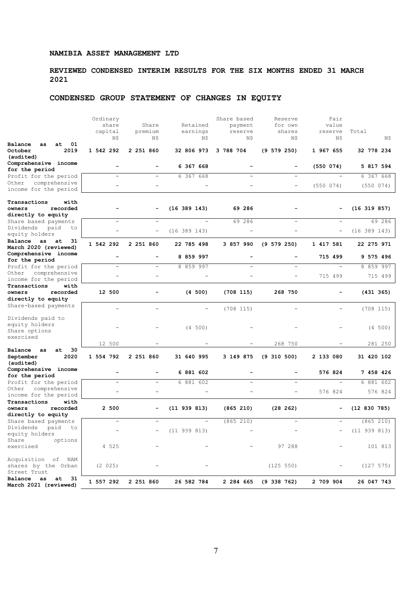# **REVIEWED CONDENSED INTERIM RESULTS FOR THE SIX MONTHS ENDED 31 MARCH 2021**

# **CONDENSED GROUP STATEMENT OF CHANGES IN EQUITY**

| share<br>Share<br>Retained<br>payment<br>for own<br>value<br>capital<br>premium<br>earnings<br>reserve<br>shares<br>reserve<br>Total<br>Ν\$<br>N\$<br>Ν\$<br>N\$<br>Ν\$<br>Ν\$<br>Ν\$<br>01<br>at<br>as<br>October<br>2019<br>1 542 292<br>2 251 860<br>32 806 973<br>3 788 704<br>$(9\ 579\ 250)$<br>1 967 655<br>32 778 234<br>(audited)<br>Comprehensive income<br>6 367 668<br>(550 074)<br>5 817 594<br>for the period<br>6 367 668<br>6 367 668<br>Profit for the period<br>$\overline{\phantom{a}}$<br>$\overline{\phantom{a}}$<br>$\overline{\phantom{a}}$<br>$\overline{\phantom{a}}$<br>Other comprehensive<br>(550 074)<br>(550 074)<br>$\overline{\phantom{a}}$<br>$\qquad \qquad -$<br>$\qquad \qquad -$<br>$\overline{\phantom{a}}$<br>$\qquad \qquad -$<br>income for the period |
|-------------------------------------------------------------------------------------------------------------------------------------------------------------------------------------------------------------------------------------------------------------------------------------------------------------------------------------------------------------------------------------------------------------------------------------------------------------------------------------------------------------------------------------------------------------------------------------------------------------------------------------------------------------------------------------------------------------------------------------------------------------------------------------------------|
| Balance                                                                                                                                                                                                                                                                                                                                                                                                                                                                                                                                                                                                                                                                                                                                                                                         |
|                                                                                                                                                                                                                                                                                                                                                                                                                                                                                                                                                                                                                                                                                                                                                                                                 |
|                                                                                                                                                                                                                                                                                                                                                                                                                                                                                                                                                                                                                                                                                                                                                                                                 |
|                                                                                                                                                                                                                                                                                                                                                                                                                                                                                                                                                                                                                                                                                                                                                                                                 |
|                                                                                                                                                                                                                                                                                                                                                                                                                                                                                                                                                                                                                                                                                                                                                                                                 |
|                                                                                                                                                                                                                                                                                                                                                                                                                                                                                                                                                                                                                                                                                                                                                                                                 |
|                                                                                                                                                                                                                                                                                                                                                                                                                                                                                                                                                                                                                                                                                                                                                                                                 |
|                                                                                                                                                                                                                                                                                                                                                                                                                                                                                                                                                                                                                                                                                                                                                                                                 |
|                                                                                                                                                                                                                                                                                                                                                                                                                                                                                                                                                                                                                                                                                                                                                                                                 |
| Transactions<br>with                                                                                                                                                                                                                                                                                                                                                                                                                                                                                                                                                                                                                                                                                                                                                                            |
| recorded<br>$(16\ 389\ 143)$<br>69 286<br>$(16\ 319\ 857)$<br>owners                                                                                                                                                                                                                                                                                                                                                                                                                                                                                                                                                                                                                                                                                                                            |
| directly to equity<br>69 286<br>69 286<br>Share based payments                                                                                                                                                                                                                                                                                                                                                                                                                                                                                                                                                                                                                                                                                                                                  |
| Dividends<br>paid<br>to                                                                                                                                                                                                                                                                                                                                                                                                                                                                                                                                                                                                                                                                                                                                                                         |
| (16 389 143)<br>$(16\ 389\ 143)$<br>$\qquad \qquad -$<br>$\overline{\phantom{a}}$<br>$\overline{\phantom{a}}$<br>equity holders                                                                                                                                                                                                                                                                                                                                                                                                                                                                                                                                                                                                                                                                 |
| Balance<br>as at<br>31<br>1 542 292<br>2 251 860<br>(9 579 250)<br>1 417 581<br>22 785 498<br>3 857 990<br>22 275 971<br>March 2020 (reviewed)                                                                                                                                                                                                                                                                                                                                                                                                                                                                                                                                                                                                                                                  |
| Comprehensive income<br>$\overline{\phantom{0}}$                                                                                                                                                                                                                                                                                                                                                                                                                                                                                                                                                                                                                                                                                                                                                |
| 8 859 997<br>715 499<br>9 575 496<br>for the period                                                                                                                                                                                                                                                                                                                                                                                                                                                                                                                                                                                                                                                                                                                                             |
| 8 859 997<br>8 859 997<br>Profit for the period<br>$\equiv$<br>$\overline{\phantom{0}}$<br>$\equiv$<br>÷                                                                                                                                                                                                                                                                                                                                                                                                                                                                                                                                                                                                                                                                                        |
| comprehensive<br>Other<br>715 499<br>715 499<br>÷                                                                                                                                                                                                                                                                                                                                                                                                                                                                                                                                                                                                                                                                                                                                               |
| income for the period<br>Transactions<br>with                                                                                                                                                                                                                                                                                                                                                                                                                                                                                                                                                                                                                                                                                                                                                   |
| recorded<br>12 500<br>(4 500)<br>(708 115)<br>268 750<br>(431 365)<br>owners                                                                                                                                                                                                                                                                                                                                                                                                                                                                                                                                                                                                                                                                                                                    |
| directly to equity                                                                                                                                                                                                                                                                                                                                                                                                                                                                                                                                                                                                                                                                                                                                                                              |
| Share-based payments                                                                                                                                                                                                                                                                                                                                                                                                                                                                                                                                                                                                                                                                                                                                                                            |
| (708 115)<br>(708 115)<br>$\qquad \qquad -$<br>$\qquad \qquad -$<br>-<br>$\overline{\phantom{a}}$                                                                                                                                                                                                                                                                                                                                                                                                                                                                                                                                                                                                                                                                                               |
| Dividends paid to                                                                                                                                                                                                                                                                                                                                                                                                                                                                                                                                                                                                                                                                                                                                                                               |
| equity holders<br>(4 500)<br>(4 500)                                                                                                                                                                                                                                                                                                                                                                                                                                                                                                                                                                                                                                                                                                                                                            |
| Share options<br>exercised                                                                                                                                                                                                                                                                                                                                                                                                                                                                                                                                                                                                                                                                                                                                                                      |
| 268 750<br>281 250<br>12 500                                                                                                                                                                                                                                                                                                                                                                                                                                                                                                                                                                                                                                                                                                                                                                    |
| Balance<br>30<br>at<br>as                                                                                                                                                                                                                                                                                                                                                                                                                                                                                                                                                                                                                                                                                                                                                                       |
| September<br>2020<br>1 554 792<br>2 251 860<br>31 640 995<br>3 149 875<br>$(9\;310\;500)$<br>2 133 080<br>31 420 102<br>(audited)                                                                                                                                                                                                                                                                                                                                                                                                                                                                                                                                                                                                                                                               |
| Comprehensive income<br>6 881 602<br>576 824<br>7 458 426<br>for the period                                                                                                                                                                                                                                                                                                                                                                                                                                                                                                                                                                                                                                                                                                                     |
| 6 881 602<br>6 881 602<br>Profit for the period<br>$\overline{a}$<br>$\overline{\phantom{0}}$                                                                                                                                                                                                                                                                                                                                                                                                                                                                                                                                                                                                                                                                                                   |
| Other<br>comprehensive<br>576 824<br>576 824<br>-                                                                                                                                                                                                                                                                                                                                                                                                                                                                                                                                                                                                                                                                                                                                               |
| income for the period                                                                                                                                                                                                                                                                                                                                                                                                                                                                                                                                                                                                                                                                                                                                                                           |
| Transactions<br>with                                                                                                                                                                                                                                                                                                                                                                                                                                                                                                                                                                                                                                                                                                                                                                            |
| recorded<br>2 500<br>(11 939 813)<br>(865 210)<br>(28 262)<br>(12 830 785)<br>owners<br>-                                                                                                                                                                                                                                                                                                                                                                                                                                                                                                                                                                                                                                                                                                       |
| directly to equity<br>(865 210)<br>(865 210)<br>Share based payments                                                                                                                                                                                                                                                                                                                                                                                                                                                                                                                                                                                                                                                                                                                            |
| Dividends<br>paid<br>to                                                                                                                                                                                                                                                                                                                                                                                                                                                                                                                                                                                                                                                                                                                                                                         |
| $-$ (11 939 813)<br>(11 939 813)<br>equity holders                                                                                                                                                                                                                                                                                                                                                                                                                                                                                                                                                                                                                                                                                                                                              |
| Share<br>options                                                                                                                                                                                                                                                                                                                                                                                                                                                                                                                                                                                                                                                                                                                                                                                |
| exercised<br>4 525<br>97 288<br>101 813                                                                                                                                                                                                                                                                                                                                                                                                                                                                                                                                                                                                                                                                                                                                                         |
| Acquisition of NAM                                                                                                                                                                                                                                                                                                                                                                                                                                                                                                                                                                                                                                                                                                                                                                              |
| shares by the Orban<br>(2 025)<br>(125 550)<br>(127 575)                                                                                                                                                                                                                                                                                                                                                                                                                                                                                                                                                                                                                                                                                                                                        |
| Street Trust                                                                                                                                                                                                                                                                                                                                                                                                                                                                                                                                                                                                                                                                                                                                                                                    |
| Balance<br>as<br>31<br>at<br>1 557 292<br>2 251 860<br>26 582 784<br>2 284 665<br>$(9\;338\;762)$<br>2 709 904<br>26 047 743<br>March 2021 (reviewed)                                                                                                                                                                                                                                                                                                                                                                                                                                                                                                                                                                                                                                           |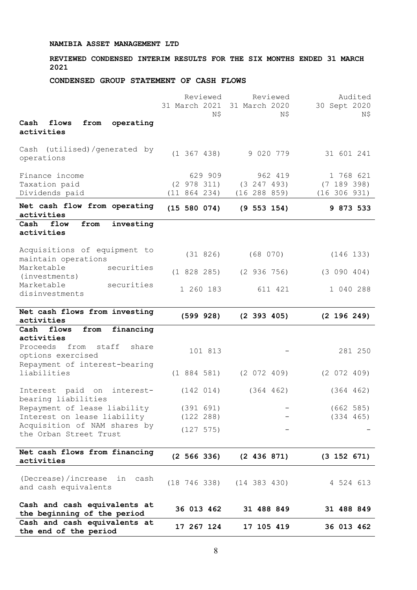**REVIEWED CONDENSED INTERIM RESULTS FOR THE SIX MONTHS ENDED 31 MARCH 2021**

# **CONDENSED GROUP STATEMENT OF CASH FLOWS**

| Repayment of interest-bearing<br>liabilities<br>Interest paid on<br>interest-<br>bearing liabilities<br>Repayment of lease liability<br>Interest on lease liability<br>Acquisition of NAM shares by<br>the Orban Street Trust<br>Net cash flows from financing<br>activities<br>(Decrease)/increase<br>in<br>cash<br>and cash equivalents<br>Cash and cash equivalents at<br>the beginning of the period<br>Cash and cash equivalents at | (1884581)<br>(142 014)<br>(391 691)<br>(122 288)<br>(127 575)<br>$(2\;566\;336)$<br>(18746338)<br>36 013 462 | (2 072 409)<br>(364 462)<br>(2 436 871)<br>(14 383 430)<br>31 488 849 | (2 072 409)<br>(364 462)<br>(662 585)<br>(334 465)<br>$(3\ 152\ 671)$<br>4 524 613<br>31 488 849 |
|------------------------------------------------------------------------------------------------------------------------------------------------------------------------------------------------------------------------------------------------------------------------------------------------------------------------------------------------------------------------------------------------------------------------------------------|--------------------------------------------------------------------------------------------------------------|-----------------------------------------------------------------------|--------------------------------------------------------------------------------------------------|
|                                                                                                                                                                                                                                                                                                                                                                                                                                          |                                                                                                              |                                                                       |                                                                                                  |
|                                                                                                                                                                                                                                                                                                                                                                                                                                          |                                                                                                              |                                                                       |                                                                                                  |
|                                                                                                                                                                                                                                                                                                                                                                                                                                          |                                                                                                              |                                                                       |                                                                                                  |
|                                                                                                                                                                                                                                                                                                                                                                                                                                          |                                                                                                              |                                                                       |                                                                                                  |
|                                                                                                                                                                                                                                                                                                                                                                                                                                          |                                                                                                              |                                                                       |                                                                                                  |
|                                                                                                                                                                                                                                                                                                                                                                                                                                          |                                                                                                              |                                                                       |                                                                                                  |
|                                                                                                                                                                                                                                                                                                                                                                                                                                          |                                                                                                              |                                                                       |                                                                                                  |
| activities<br>Proceeds from<br>staff<br>share<br>options exercised                                                                                                                                                                                                                                                                                                                                                                       | 101 813                                                                                                      |                                                                       | 281 250                                                                                          |
| financing<br>Cash<br>flows<br>from                                                                                                                                                                                                                                                                                                                                                                                                       |                                                                                                              |                                                                       |                                                                                                  |
| activities                                                                                                                                                                                                                                                                                                                                                                                                                               | (599928)                                                                                                     | $(2\;393\;405)$                                                       | (2 196 249)                                                                                      |
| Marketable<br>securities<br>disinvestments<br>Net cash flows from investing                                                                                                                                                                                                                                                                                                                                                              | 1 260 183                                                                                                    | 611 421                                                               | 1 040 288                                                                                        |
| Marketable<br>securities<br>(investments)                                                                                                                                                                                                                                                                                                                                                                                                | (1 828 285)                                                                                                  | $(2\ 936\ 756)$                                                       | (3 090 404)                                                                                      |
| Acquisitions of equipment to<br>maintain operations                                                                                                                                                                                                                                                                                                                                                                                      | (31 826)                                                                                                     | (68 070)                                                              | (146 133)                                                                                        |
| Cash<br>flow<br>investing<br>from<br>activities                                                                                                                                                                                                                                                                                                                                                                                          |                                                                                                              |                                                                       |                                                                                                  |
| Net cash flow from operating<br>activities                                                                                                                                                                                                                                                                                                                                                                                               | (15 580 074)                                                                                                 | $(9\ 553\ 154)$                                                       | 9 873 533                                                                                        |
| Taxation paid<br>Dividends paid                                                                                                                                                                                                                                                                                                                                                                                                          | (2 978 311)<br>(11 864 234)                                                                                  | (3 247 493)<br>(16 288 859)                                           | (7 189 398)<br>(16 306 931)                                                                      |
| Finance income                                                                                                                                                                                                                                                                                                                                                                                                                           | 629 909                                                                                                      | 962 419                                                               | 1 768 621                                                                                        |
| Cash (utilised)/generated by<br>operations                                                                                                                                                                                                                                                                                                                                                                                               | $(1\;367\;438)$                                                                                              | 9 020 779                                                             | 31 601 241                                                                                       |
|                                                                                                                                                                                                                                                                                                                                                                                                                                          |                                                                                                              |                                                                       |                                                                                                  |
| operating<br>Cash<br>flows<br>from<br>activities                                                                                                                                                                                                                                                                                                                                                                                         | N\$                                                                                                          | N\$                                                                   | N\$                                                                                              |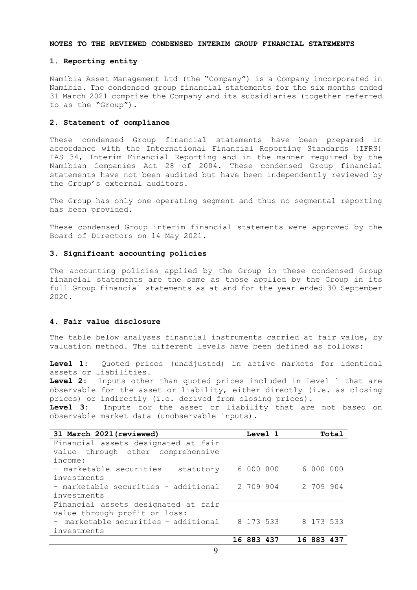#### **NOTES TO THE REVIEWED CONDENSED INTERIM GROUP FINANCIAL STATEMENTS**

### **1. Reporting entity**

Namibia Asset Management Ltd (the "Company") is a Company incorporated in Namibia. The condensed group financial statements for the six months ended 31 March 2021 comprise the Company and its subsidiaries (together referred to as the "Group").

# **2. Statement of compliance**

These condensed Group financial statements have been prepared in accordance with the International Financial Reporting Standards (IFRS) IAS 34, Interim Financial Reporting and in the manner required by the Namibian Companies Act 28 of 2004. These condensed Group financial statements have not been audited but have been independently reviewed by the Group's external auditors.

The Group has only one operating segment and thus no segmental reporting has been provided.

These condensed Group interim financial statements were approved by the Board of Directors on 14 May 2021.

#### **3. Significant accounting policies**

The accounting policies applied by the Group in these condensed Group financial statements are the same as those applied by the Group in its full Group financial statements as at and for the year ended 30 September 2020.

## **4. Fair value disclosure**

The table below analyses financial instruments carried at fair value, by valuation method. The different levels have been defined as follows:

**Level 1:** Quoted prices (unadjusted) in active markets for identical assets or liabilities.

**Level 2:** Inputs other than quoted prices included in Level 1 that are observable for the asset or liability, either directly (i.e. as closing prices) or indirectly (i.e. derived from closing prices).<br>**Level 3:** Inputs for the asset or liability that are

**Level 3:** Inputs for the asset or liability that are not based on observable market data (unobservable inputs).

| 31 March 2021 (reviewed)             | Level 1    |  |            | Total |
|--------------------------------------|------------|--|------------|-------|
| Financial assets designated at fair  |            |  |            |       |
| value through other comprehensive    |            |  |            |       |
| income:                              |            |  |            |       |
| - marketable securities - statutory  | 6000000    |  | 6 000 000  |       |
| investments                          |            |  |            |       |
| - marketable securities - additional | 2 709 904  |  | 2 709 904  |       |
| investments                          |            |  |            |       |
| Financial assets designated at fair  |            |  |            |       |
| value through profit or loss:        |            |  |            |       |
| - marketable securities - additional | 8 173 533  |  | 8 173 533  |       |
| investments                          |            |  |            |       |
|                                      | 16 883 437 |  | 16 883 437 |       |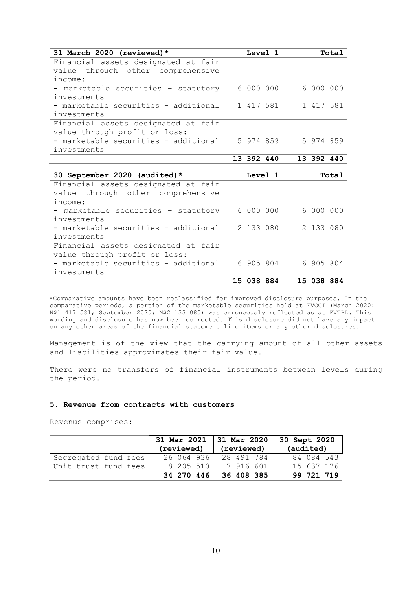| 31 March 2020 (reviewed)*            |            | Level 1   |           |            | Total |
|--------------------------------------|------------|-----------|-----------|------------|-------|
| Financial assets designated at fair  |            |           |           |            |       |
| value through other comprehensive    |            |           |           |            |       |
| income:                              |            |           |           |            |       |
| - marketable securities - statutory  |            | 6000000   |           | 6 000 000  |       |
| investments                          |            |           |           |            |       |
| - marketable securities - additional |            | 1 417 581 |           | 1 417 581  |       |
| investments                          |            |           |           |            |       |
| Financial assets designated at fair  |            |           |           |            |       |
| value through profit or loss:        |            |           |           |            |       |
| - marketable securities - additional |            | 5 974 859 |           | 5 974 859  |       |
| investments                          |            |           |           |            |       |
|                                      | 13 392 440 |           |           | 13 392 440 |       |
|                                      |            |           |           |            |       |
|                                      |            |           |           |            |       |
| 30 September 2020 (audited)*         |            | Level 1   |           |            | Total |
| Financial assets designated at fair  |            |           |           |            |       |
| value through other comprehensive    |            |           |           |            |       |
| income:                              |            |           |           |            |       |
| - marketable securities - statutory  |            | 6 000 000 |           | 6 000 000  |       |
| investments                          |            |           |           |            |       |
| - marketable securities - additional |            | 2 133 080 |           | 2 133 080  |       |
| investments                          |            |           |           |            |       |
| Financial assets designated at fair  |            |           |           |            |       |
| value through profit or loss:        |            |           |           |            |       |
| - marketable securities - additional |            |           | 6 905 804 | 6 905 804  |       |
| investments                          |            |           |           |            |       |

\*Comparative amounts have been reclassified for improved disclosure purposes. In the comparative periods, a portion of the marketable securities held at FVOCI (March 2020: N\$1 417 581; September 2020: N\$2 133 080) was erroneously reflected as at FVTPL. This wording and disclosure has now been corrected. This disclosure did not have any impact on any other areas of the financial statement line items or any other disclosures.

Management is of the view that the carrying amount of all other assets and liabilities approximates their fair value.

There were no transfers of financial instruments between levels during the period.

### **5. Revenue from contracts with customers**

Revenue comprises:

|                      | 31 Mar 2021 | 31 Mar 2020 | 30 Sept 2020 |
|----------------------|-------------|-------------|--------------|
|                      | (reviewed)  | (reviewed)  | (audited)    |
| Segregated fund fees | 26 064 936  | 28 491 784  | 84 084 543   |
| Unit trust fund fees | 8 205 510   | 7 916 601   | 15 637 176   |
|                      | 34 270 446  | 36 408 385  | 99 721 719   |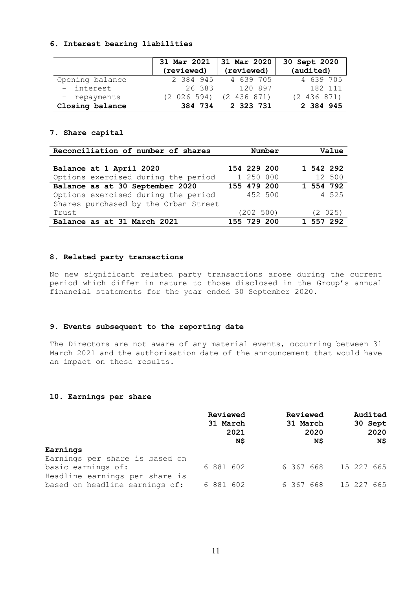### **6. Interest bearing liabilities**

|                 | 31 Mar 2021<br>(reviewed) | 31 Mar 2020<br>(reviewed) | 30 Sept 2020<br>(audited) |
|-----------------|---------------------------|---------------------------|---------------------------|
| Opening balance | 2 384 945                 | 4 639 705                 | 4 639 705                 |
| - interest      | 26 383                    | 120 897                   | 182 111                   |
| - repayments    | (2 026 594)               | (2, 436, 871)             | (2 436 871)               |
| Closing balance | 384 734                   | 2 323 731                 | 2 384 945                 |

## **7. Share capital**

| Reconciliation of number of shares   | Number      | Value     |
|--------------------------------------|-------------|-----------|
|                                      |             |           |
| Balance at 1 April 2020              | 154 229 200 | 1 542 292 |
| Options exercised during the period  | 1 250 000   | 12 500    |
| Balance as at 30 September 2020      | 155 479 200 | 1 554 792 |
| Options exercised during the period  | 452 500     | 4 525     |
| Shares purchased by the Orban Street |             |           |
| Trust                                | (202 500)   | (2 025)   |
| Balance as at 31 March 2021          | 155 729 200 | 1 557 292 |

# **8. Related party transactions**

No new significant related party transactions arose during the current period which differ in nature to those disclosed in the Group's annual financial statements for the year ended 30 September 2020.

### **9. Events subsequent to the reporting date**

The Directors are not aware of any material events, occurring between 31 March 2021 and the authorisation date of the announcement that would have an impact on these results.

## **10. Earnings per share**

| Reviewed<br>31 March<br>2021<br>N\$ | Reviewed<br>31 March<br>2020<br>N\$ | Audited<br>30 Sept<br>2020<br>N\$ |
|-------------------------------------|-------------------------------------|-----------------------------------|
|                                     |                                     |                                   |
|                                     |                                     |                                   |
| 6 881 602                           |                                     | 15 227 665                        |
|                                     |                                     |                                   |
| 6 881 602                           |                                     | 15 227 665                        |
|                                     |                                     | 6367668<br>6367668                |